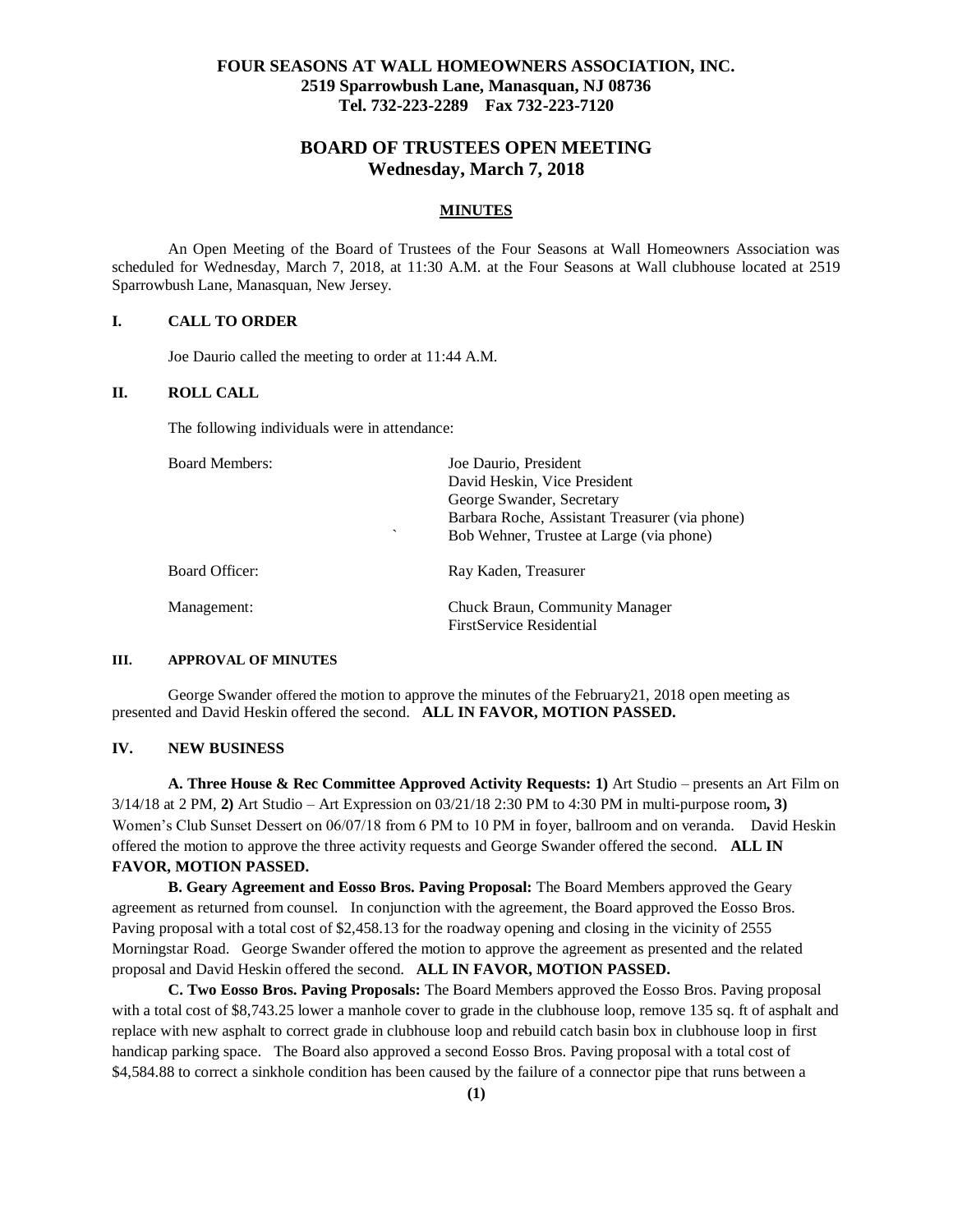# **FOUR SEASONS AT WALL HOMEOWNERS ASSOCIATION, INC. 2519 Sparrowbush Lane, Manasquan, NJ 08736 Tel. 732-223-2289 Fax 732-223-7120**

# **BOARD OF TRUSTEES OPEN MEETING Wednesday, March 7, 2018**

#### **MINUTES**

An Open Meeting of the Board of Trustees of the Four Seasons at Wall Homeowners Association was scheduled for Wednesday, March 7, 2018, at 11:30 A.M. at the Four Seasons at Wall clubhouse located at 2519 Sparrowbush Lane, Manasquan, New Jersey.

# **I. CALL TO ORDER**

Joe Daurio called the meeting to order at 11:44 A.M.

#### **II. ROLL CALL**

The following individuals were in attendance:

| <b>Board Members:</b> | Joe Daurio, President                                                |
|-----------------------|----------------------------------------------------------------------|
|                       | David Heskin, Vice President                                         |
|                       | George Swander, Secretary                                            |
|                       | Barbara Roche, Assistant Treasurer (via phone)                       |
|                       | $\overline{\phantom{0}}$<br>Bob Wehner, Trustee at Large (via phone) |
| Board Officer:        | Ray Kaden, Treasurer                                                 |
| Management:           | Chuck Braun, Community Manager                                       |
|                       | <b>FirstService Residential</b>                                      |

# **III. APPROVAL OF MINUTES**

George Swander offered the motion to approve the minutes of the February21, 2018 open meeting as presented and David Heskin offered the second. **ALL IN FAVOR, MOTION PASSED.**

#### **IV. NEW BUSINESS**

**A. Three House & Rec Committee Approved Activity Requests: 1)** Art Studio – presents an Art Film on 3/14/18 at 2 PM, **2)** Art Studio – Art Expression on 03/21/18 2:30 PM to 4:30 PM in multi-purpose room**, 3)**  Women's Club Sunset Dessert on 06/07/18 from 6 PM to 10 PM in foyer, ballroom and on veranda.David Heskin offered the motion to approve the three activity requests and George Swander offered the second. **ALL IN FAVOR, MOTION PASSED.**

**B. Geary Agreement and Eosso Bros. Paving Proposal:** The Board Members approved the Geary agreement as returned from counsel. In conjunction with the agreement, the Board approved the Eosso Bros. Paving proposal with a total cost of \$2,458.13 for the roadway opening and closing in the vicinity of 2555 Morningstar Road. George Swander offered the motion to approve the agreement as presented and the related proposal and David Heskin offered the second. **ALL IN FAVOR, MOTION PASSED.**

**C. Two Eosso Bros. Paving Proposals:** The Board Members approved the Eosso Bros. Paving proposal with a total cost of \$8,743.25 lower a manhole cover to grade in the clubhouse loop, remove 135 sq. ft of asphalt and replace with new asphalt to correct grade in clubhouse loop and rebuild catch basin box in clubhouse loop in first handicap parking space. The Board also approved a second Eosso Bros. Paving proposal with a total cost of \$4,584.88 to correct a sinkhole condition has been caused by the failure of a connector pipe that runs between a